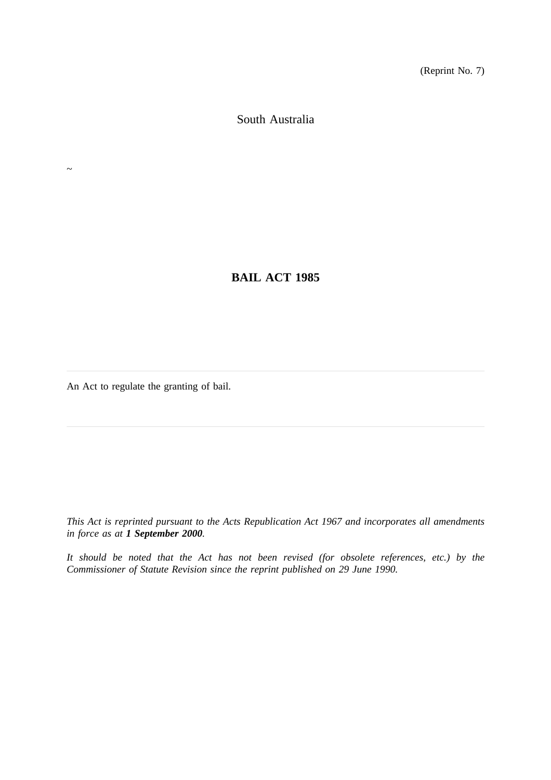(Reprint No. 7)

South Australia

**BAIL ACT 1985**

An Act to regulate the granting of bail.

 $\sim$ 

*This Act is reprinted pursuant to the Acts Republication Act 1967 and incorporates all amendments in force as at 1 September 2000.*

*It should be noted that the Act has not been revised (for obsolete references, etc.) by the Commissioner of Statute Revision since the reprint published on 29 June 1990.*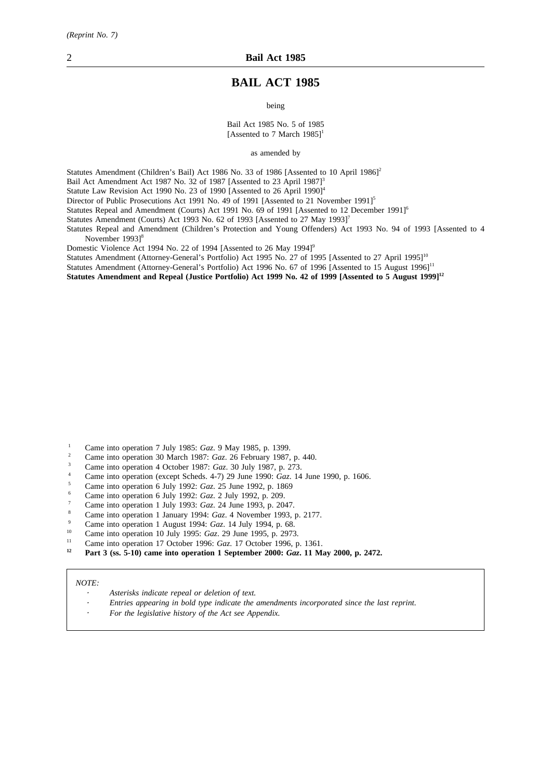# **BAIL ACT 1985**

being

#### Bail Act 1985 No. 5 of 1985 [Assented to 7 March  $1985$ ]<sup>1</sup>

as amended by

Statutes Amendment (Children's Bail) Act 1986 No. 33 of 1986 [Assented to 10 April 1986]<sup>2</sup>

Bail Act Amendment Act 1987 No. 32 of 1987 [Assented to 23 April 1987]<sup>3</sup>

Statute Law Revision Act 1990 No. 23 of 1990 [Assented to 26 April 1990]<sup>4</sup>

Director of Public Prosecutions Act 1991 No. 49 of 1991 [Assented to 21 November 1991]<sup>5</sup>

Statutes Repeal and Amendment (Courts) Act 1991 No. 69 of 1991 [Assented to 12 December 1991]<sup>6</sup>

Statutes Amendment (Courts) Act 1993 No. 62 of 1993 [Assented to 27 May 1993]<sup>7</sup>

Statutes Repeal and Amendment (Children's Protection and Young Offenders) Act 1993 No. 94 of 1993 [Assented to 4 November 1993]<sup>8</sup>

Domestic Violence Act 1994 No. 22 of 1994 [Assented to 26 May 1994]<sup>9</sup>

Statutes Amendment (Attorney-General's Portfolio) Act 1995 No. 27 of 1995 [Assented to 27 April 1995]<sup>10</sup>

Statutes Amendment (Attorney-General's Portfolio) Act 1996 No. 67 of 1996 [Assented to 15 August 1996]<sup>11</sup>

**Statutes Amendment and Repeal (Justice Portfolio) Act 1999 No. 42 of 1999 [Assented to 5 August 1999]12**

- <sup>1</sup> Came into operation 7 July 1985: *Gaz*. 9 May 1985, p. 1399.
- <sup>2</sup> Came into operation 30 March 1987: *Gaz*. 26 February 1987, p. 440.
- <sup>3</sup> Came into operation 4 October 1987: *Gaz*. 30 July 1987, p. 273.
- <sup>4</sup> Came into operation (except Scheds. 4-7) 29 June 1990: *Gaz*. 14 June 1990, p. 1606.
- <sup>5</sup> Came into operation 6 July 1992: *Gaz*. 25 June 1992, p. 1869
- <sup>6</sup> Came into operation 6 July 1992: *Gaz*. 2 July 1992, p. 209.
- <sup>7</sup> Came into operation 1 July 1993: *Gaz*. 24 June 1993, p. 2047.
- <sup>8</sup> Came into operation 1 January 1994: *Gaz*. 4 November 1993, p. 2177.
- <sup>9</sup> Came into operation 1 August 1994: *Gaz*. 14 July 1994, p. 68.
- <sup>10</sup> Came into operation 10 July 1995: *Gaz*. 29 June 1995, p. 2973.
- <sup>11</sup> Came into operation 17 October 1996: *Gaz.* 17 October 1996, p. 1361.<br><sup>12</sup> Port 3 (gs. 5.10) some into aparation 1 Santamber 2000: *Gaz*. 11 M
- **<sup>12</sup> Part 3 (ss. 5-10) came into operation 1 September 2000:** *Gaz***. 11 May 2000, p. 2472.**

#### *NOTE:*

- *Asterisks indicate repeal or deletion of text.*
- *Entries appearing in bold type indicate the amendments incorporated since the last reprint.*
- *For the legislative history of the Act see Appendix.*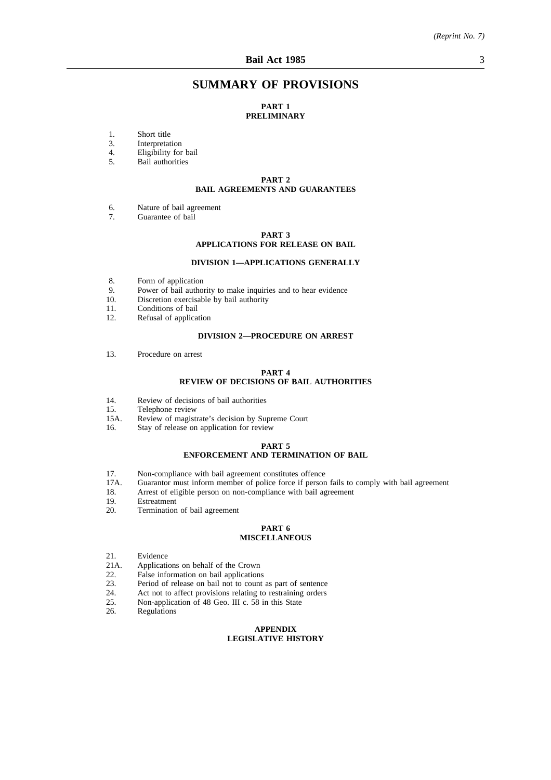# **SUMMARY OF PROVISIONS**

#### **PART 1 PRELIMINARY**

- 1. Short title<br>3. Interpretat
- **Interpretation**
- 4. Eligibility for bail<br>5. Bail authorities
- Bail authorities

#### **PART 2 BAIL AGREEMENTS AND GUARANTEES**

- 6. Nature of bail agreement<br>7 Guarantee of bail
- Guarantee of bail

#### **PART 3**

## **APPLICATIONS FOR RELEASE ON BAIL**

#### **DIVISION 1—APPLICATIONS GENERALLY**

- 8. Form of application<br>9. Power of bail author
- 9. Power of bail authority to make inquiries and to hear evidence 10. Discretion exercisable by bail authority
- Discretion exercisable by bail authority
- 11. Conditions of bail<br>12. Refusal of applical
- Refusal of application

#### **DIVISION 2—PROCEDURE ON ARREST**

13. Procedure on arrest

#### **PART 4 REVIEW OF DECISIONS OF BAIL AUTHORITIES**

- 14. Review of decisions of bail authorities<br>15. Telephone review
- 15. Telephone review<br>15A. Review of magist
- Review of magistrate's decision by Supreme Court
- 16. Stay of release on application for review

#### **PART 5**

#### **ENFORCEMENT AND TERMINATION OF BAIL**

- 17. Non-compliance with bail agreement constitutes offence<br>17A. Guarantor must inform member of police force if person
- 17A. Guarantor must inform member of police force if person fails to comply with bail agreement 18. Arrest of eligible person on non-compliance with bail agreement
- 18. Arrest of eligible person on non-compliance with bail agreement 19.
- 19. Estreatment<br>20. Termination
- Termination of bail agreement

#### **PART 6 MISCELLANEOUS**

- 
- 21. Evidence<br>21A. Application
- 21A. Applications on behalf of the Crown<br>22. False information on bail applications 22. False information on bail applications<br>23. Period of release on bail not to count
- 
- 23. Period of release on bail not to count as part of sentence 24. Act not to affect provisions relating to restraining orders 24. Act not to affect provisions relating to restraining orders<br>25. Non-application of 48 Geo. III c. 58 in this State
- 25. Non-application of 48 Geo. III c. 58 in this State 26. Regulations
- Regulations

#### **APPENDIX LEGISLATIVE HISTORY**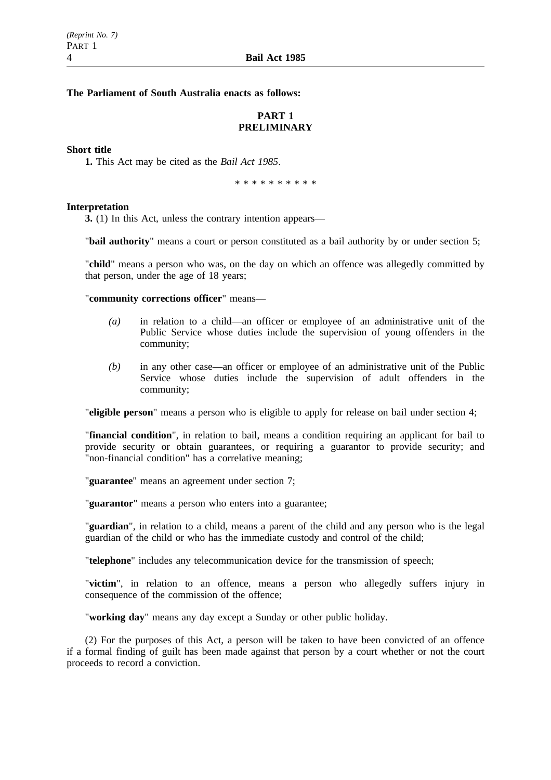## **The Parliament of South Australia enacts as follows:**

# **PART 1 PRELIMINARY**

#### **Short title**

**1.** This Act may be cited as the *Bail Act 1985*.

\*\*\*\*\*\*\*\*\*\*

#### **Interpretation**

**3.** (1) In this Act, unless the contrary intention appears—

"**bail authority**" means a court or person constituted as a bail authority by or under section 5;

"**child**" means a person who was, on the day on which an offence was allegedly committed by that person, under the age of 18 years;

"**community corrections officer**" means—

- *(a)* in relation to a child—an officer or employee of an administrative unit of the Public Service whose duties include the supervision of young offenders in the community;
- *(b)* in any other case—an officer or employee of an administrative unit of the Public Service whose duties include the supervision of adult offenders in the community;

"**eligible person**" means a person who is eligible to apply for release on bail under section 4;

"**financial condition**", in relation to bail, means a condition requiring an applicant for bail to provide security or obtain guarantees, or requiring a guarantor to provide security; and "non-financial condition" has a correlative meaning;

"**guarantee**" means an agreement under section 7;

"**guarantor**" means a person who enters into a guarantee;

"**guardian**", in relation to a child, means a parent of the child and any person who is the legal guardian of the child or who has the immediate custody and control of the child;

"**telephone**" includes any telecommunication device for the transmission of speech;

"**victim**", in relation to an offence, means a person who allegedly suffers injury in consequence of the commission of the offence;

"**working day**" means any day except a Sunday or other public holiday.

(2) For the purposes of this Act, a person will be taken to have been convicted of an offence if a formal finding of guilt has been made against that person by a court whether or not the court proceeds to record a conviction.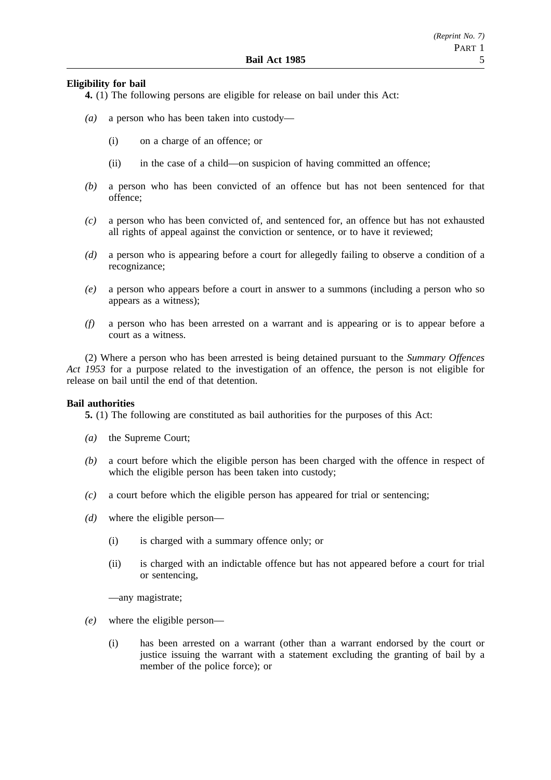## **Eligibility for bail**

**4.** (1) The following persons are eligible for release on bail under this Act:

- *(a)* a person who has been taken into custody—
	- (i) on a charge of an offence; or
	- (ii) in the case of a child—on suspicion of having committed an offence;
- *(b)* a person who has been convicted of an offence but has not been sentenced for that offence;
- *(c)* a person who has been convicted of, and sentenced for, an offence but has not exhausted all rights of appeal against the conviction or sentence, or to have it reviewed;
- *(d)* a person who is appearing before a court for allegedly failing to observe a condition of a recognizance;
- *(e)* a person who appears before a court in answer to a summons (including a person who so appears as a witness);
- *(f)* a person who has been arrested on a warrant and is appearing or is to appear before a court as a witness.

(2) Where a person who has been arrested is being detained pursuant to the *Summary Offences Act 1953* for a purpose related to the investigation of an offence, the person is not eligible for release on bail until the end of that detention.

## **Bail authorities**

**5.** (1) The following are constituted as bail authorities for the purposes of this Act:

- *(a)* the Supreme Court;
- *(b)* a court before which the eligible person has been charged with the offence in respect of which the eligible person has been taken into custody;
- *(c)* a court before which the eligible person has appeared for trial or sentencing;
- *(d)* where the eligible person—
	- (i) is charged with a summary offence only; or
	- (ii) is charged with an indictable offence but has not appeared before a court for trial or sentencing,

—any magistrate;

- *(e)* where the eligible person—
	- (i) has been arrested on a warrant (other than a warrant endorsed by the court or justice issuing the warrant with a statement excluding the granting of bail by a member of the police force); or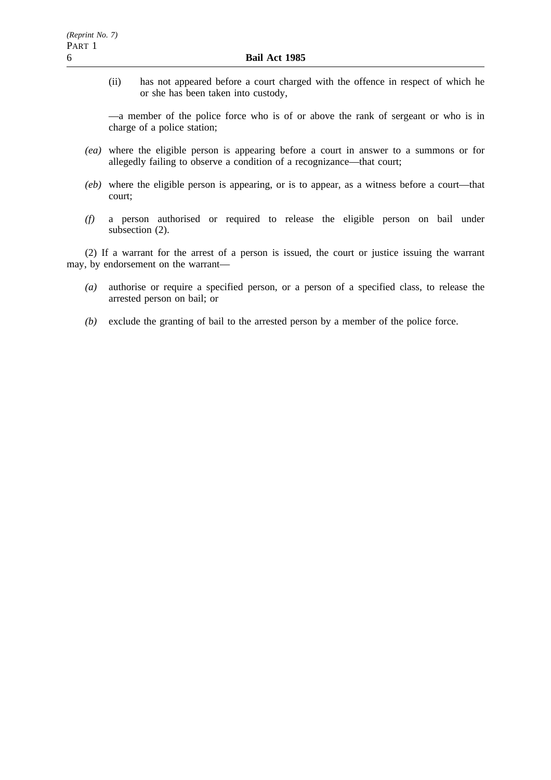(ii) has not appeared before a court charged with the offence in respect of which he or she has been taken into custody,

—a member of the police force who is of or above the rank of sergeant or who is in charge of a police station;

- *(ea)* where the eligible person is appearing before a court in answer to a summons or for allegedly failing to observe a condition of a recognizance—that court;
- *(eb)* where the eligible person is appearing, or is to appear, as a witness before a court—that court;
- *(f)* a person authorised or required to release the eligible person on bail under subsection  $(2)$ .

(2) If a warrant for the arrest of a person is issued, the court or justice issuing the warrant may, by endorsement on the warrant—

- *(a)* authorise or require a specified person, or a person of a specified class, to release the arrested person on bail; or
- *(b)* exclude the granting of bail to the arrested person by a member of the police force.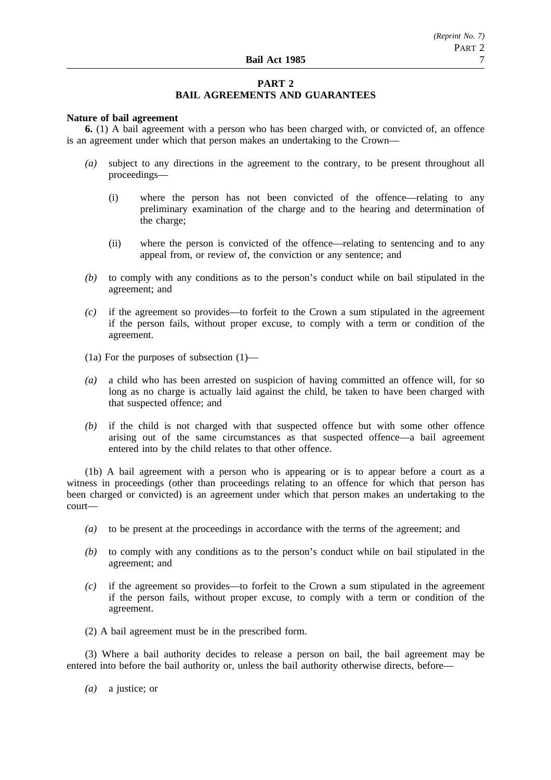## **PART 2 BAIL AGREEMENTS AND GUARANTEES**

## **Nature of bail agreement**

**6.** (1) A bail agreement with a person who has been charged with, or convicted of, an offence is an agreement under which that person makes an undertaking to the Crown—

- *(a)* subject to any directions in the agreement to the contrary, to be present throughout all proceedings—
	- (i) where the person has not been convicted of the offence—relating to any preliminary examination of the charge and to the hearing and determination of the charge;
	- (ii) where the person is convicted of the offence—relating to sentencing and to any appeal from, or review of, the conviction or any sentence; and
- *(b)* to comply with any conditions as to the person's conduct while on bail stipulated in the agreement; and
- *(c)* if the agreement so provides—to forfeit to the Crown a sum stipulated in the agreement if the person fails, without proper excuse, to comply with a term or condition of the agreement.
- (1a) For the purposes of subsection (1)—
- *(a)* a child who has been arrested on suspicion of having committed an offence will, for so long as no charge is actually laid against the child, be taken to have been charged with that suspected offence; and
- *(b)* if the child is not charged with that suspected offence but with some other offence arising out of the same circumstances as that suspected offence—a bail agreement entered into by the child relates to that other offence.

(1b) A bail agreement with a person who is appearing or is to appear before a court as a witness in proceedings (other than proceedings relating to an offence for which that person has been charged or convicted) is an agreement under which that person makes an undertaking to the court—

- *(a)* to be present at the proceedings in accordance with the terms of the agreement; and
- *(b)* to comply with any conditions as to the person's conduct while on bail stipulated in the agreement; and
- *(c)* if the agreement so provides—to forfeit to the Crown a sum stipulated in the agreement if the person fails, without proper excuse, to comply with a term or condition of the agreement.
- (2) A bail agreement must be in the prescribed form.

(3) Where a bail authority decides to release a person on bail, the bail agreement may be entered into before the bail authority or, unless the bail authority otherwise directs, before—

*(a)* a justice; or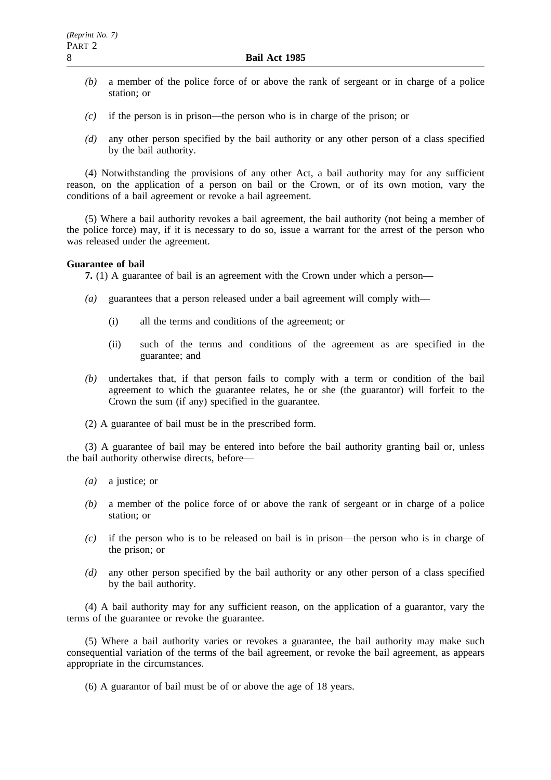- *(b)* a member of the police force of or above the rank of sergeant or in charge of a police station; or
- *(c)* if the person is in prison—the person who is in charge of the prison; or
- *(d)* any other person specified by the bail authority or any other person of a class specified by the bail authority.

(4) Notwithstanding the provisions of any other Act, a bail authority may for any sufficient reason, on the application of a person on bail or the Crown, or of its own motion, vary the conditions of a bail agreement or revoke a bail agreement.

(5) Where a bail authority revokes a bail agreement, the bail authority (not being a member of the police force) may, if it is necessary to do so, issue a warrant for the arrest of the person who was released under the agreement.

#### **Guarantee of bail**

**7.** (1) A guarantee of bail is an agreement with the Crown under which a person—

- *(a)* guarantees that a person released under a bail agreement will comply with—
	- (i) all the terms and conditions of the agreement; or
	- (ii) such of the terms and conditions of the agreement as are specified in the guarantee; and
- *(b)* undertakes that, if that person fails to comply with a term or condition of the bail agreement to which the guarantee relates, he or she (the guarantor) will forfeit to the Crown the sum (if any) specified in the guarantee.
- (2) A guarantee of bail must be in the prescribed form.

(3) A guarantee of bail may be entered into before the bail authority granting bail or, unless the bail authority otherwise directs, before—

- *(a)* a justice; or
- *(b)* a member of the police force of or above the rank of sergeant or in charge of a police station; or
- *(c)* if the person who is to be released on bail is in prison—the person who is in charge of the prison; or
- *(d)* any other person specified by the bail authority or any other person of a class specified by the bail authority.

(4) A bail authority may for any sufficient reason, on the application of a guarantor, vary the terms of the guarantee or revoke the guarantee.

(5) Where a bail authority varies or revokes a guarantee, the bail authority may make such consequential variation of the terms of the bail agreement, or revoke the bail agreement, as appears appropriate in the circumstances.

(6) A guarantor of bail must be of or above the age of 18 years.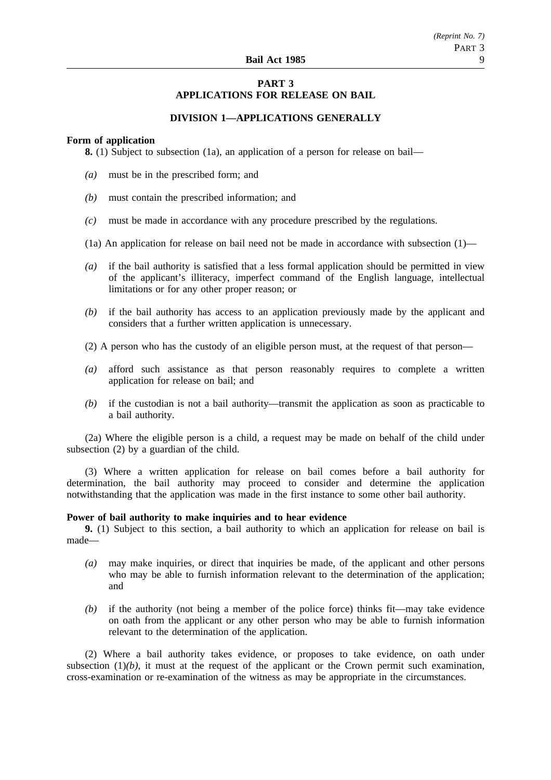# **PART 3 APPLICATIONS FOR RELEASE ON BAIL**

## **DIVISION 1—APPLICATIONS GENERALLY**

## **Form of application**

**8.** (1) Subject to subsection (1a), an application of a person for release on bail—

- *(a)* must be in the prescribed form; and
- *(b)* must contain the prescribed information; and
- *(c)* must be made in accordance with any procedure prescribed by the regulations.
- (1a) An application for release on bail need not be made in accordance with subsection (1)—
- *(a)* if the bail authority is satisfied that a less formal application should be permitted in view of the applicant's illiteracy, imperfect command of the English language, intellectual limitations or for any other proper reason; or
- *(b)* if the bail authority has access to an application previously made by the applicant and considers that a further written application is unnecessary.
- (2) A person who has the custody of an eligible person must, at the request of that person—
- *(a)* afford such assistance as that person reasonably requires to complete a written application for release on bail; and
- *(b)* if the custodian is not a bail authority—transmit the application as soon as practicable to a bail authority.

(2a) Where the eligible person is a child, a request may be made on behalf of the child under subsection (2) by a guardian of the child.

(3) Where a written application for release on bail comes before a bail authority for determination, the bail authority may proceed to consider and determine the application notwithstanding that the application was made in the first instance to some other bail authority.

## **Power of bail authority to make inquiries and to hear evidence**

**9.** (1) Subject to this section, a bail authority to which an application for release on bail is made—

- *(a)* may make inquiries, or direct that inquiries be made, of the applicant and other persons who may be able to furnish information relevant to the determination of the application; and
- *(b)* if the authority (not being a member of the police force) thinks fit—may take evidence on oath from the applicant or any other person who may be able to furnish information relevant to the determination of the application.

(2) Where a bail authority takes evidence, or proposes to take evidence, on oath under subsection  $(1)(b)$ , it must at the request of the applicant or the Crown permit such examination, cross-examination or re-examination of the witness as may be appropriate in the circumstances.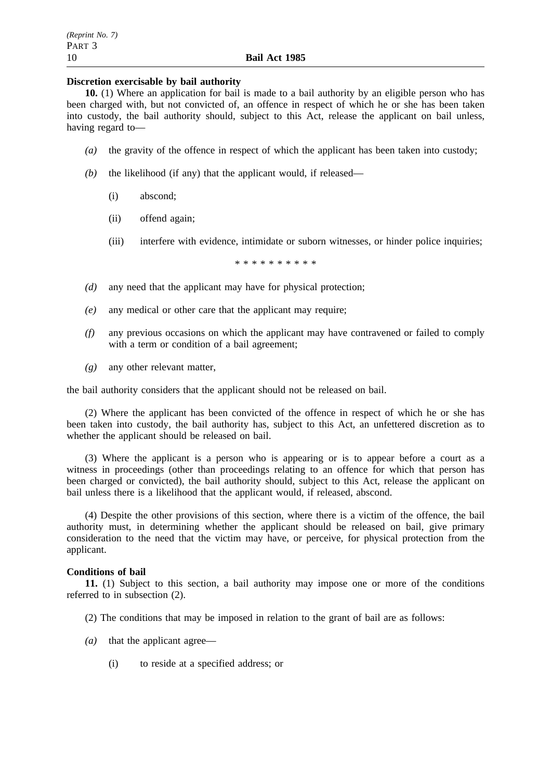## **Discretion exercisable by bail authority**

**10.** (1) Where an application for bail is made to a bail authority by an eligible person who has been charged with, but not convicted of, an offence in respect of which he or she has been taken into custody, the bail authority should, subject to this Act, release the applicant on bail unless, having regard to—

- *(a)* the gravity of the offence in respect of which the applicant has been taken into custody;
- *(b)* the likelihood (if any) that the applicant would, if released—
	- (i) abscond;
	- (ii) offend again;
	- (iii) interfere with evidence, intimidate or suborn witnesses, or hinder police inquiries;

\*\*\*\*\*\*\*\*\*\*

- *(d)* any need that the applicant may have for physical protection;
- *(e)* any medical or other care that the applicant may require;
- *(f)* any previous occasions on which the applicant may have contravened or failed to comply with a term or condition of a bail agreement;
- *(g)* any other relevant matter,

the bail authority considers that the applicant should not be released on bail.

(2) Where the applicant has been convicted of the offence in respect of which he or she has been taken into custody, the bail authority has, subject to this Act, an unfettered discretion as to whether the applicant should be released on bail.

(3) Where the applicant is a person who is appearing or is to appear before a court as a witness in proceedings (other than proceedings relating to an offence for which that person has been charged or convicted), the bail authority should, subject to this Act, release the applicant on bail unless there is a likelihood that the applicant would, if released, abscond.

(4) Despite the other provisions of this section, where there is a victim of the offence, the bail authority must, in determining whether the applicant should be released on bail, give primary consideration to the need that the victim may have, or perceive, for physical protection from the applicant.

## **Conditions of bail**

**11.** (1) Subject to this section, a bail authority may impose one or more of the conditions referred to in subsection (2).

- (2) The conditions that may be imposed in relation to the grant of bail are as follows:
- *(a)* that the applicant agree—
	- (i) to reside at a specified address; or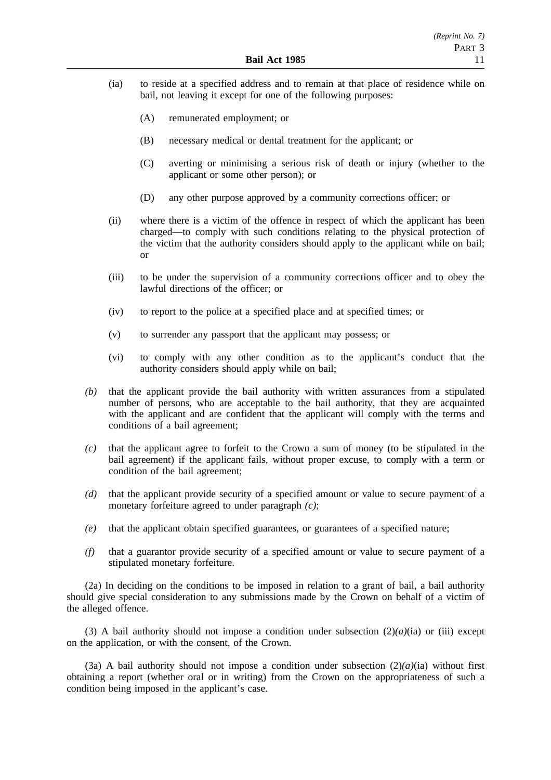- (ia) to reside at a specified address and to remain at that place of residence while on bail, not leaving it except for one of the following purposes:
	- (A) remunerated employment; or
	- (B) necessary medical or dental treatment for the applicant; or
	- (C) averting or minimising a serious risk of death or injury (whether to the applicant or some other person); or
	- (D) any other purpose approved by a community corrections officer; or
- (ii) where there is a victim of the offence in respect of which the applicant has been charged—to comply with such conditions relating to the physical protection of the victim that the authority considers should apply to the applicant while on bail; or
- (iii) to be under the supervision of a community corrections officer and to obey the lawful directions of the officer; or
- (iv) to report to the police at a specified place and at specified times; or
- (v) to surrender any passport that the applicant may possess; or
- (vi) to comply with any other condition as to the applicant's conduct that the authority considers should apply while on bail;
- *(b)* that the applicant provide the bail authority with written assurances from a stipulated number of persons, who are acceptable to the bail authority, that they are acquainted with the applicant and are confident that the applicant will comply with the terms and conditions of a bail agreement;
- *(c)* that the applicant agree to forfeit to the Crown a sum of money (to be stipulated in the bail agreement) if the applicant fails, without proper excuse, to comply with a term or condition of the bail agreement;
- *(d)* that the applicant provide security of a specified amount or value to secure payment of a monetary forfeiture agreed to under paragraph *(c)*;
- *(e)* that the applicant obtain specified guarantees, or guarantees of a specified nature;
- *(f)* that a guarantor provide security of a specified amount or value to secure payment of a stipulated monetary forfeiture.

(2a) In deciding on the conditions to be imposed in relation to a grant of bail, a bail authority should give special consideration to any submissions made by the Crown on behalf of a victim of the alleged offence.

(3) A bail authority should not impose a condition under subsection  $(2)(a)(ia)$  or (iii) except on the application, or with the consent, of the Crown.

(3a) A bail authority should not impose a condition under subsection  $(2)(a)(ia)$  without first obtaining a report (whether oral or in writing) from the Crown on the appropriateness of such a condition being imposed in the applicant's case.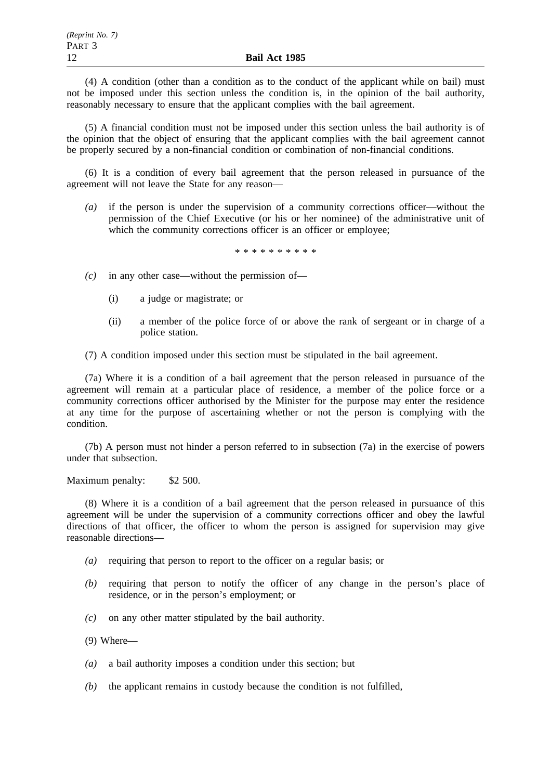(4) A condition (other than a condition as to the conduct of the applicant while on bail) must not be imposed under this section unless the condition is, in the opinion of the bail authority, reasonably necessary to ensure that the applicant complies with the bail agreement.

(5) A financial condition must not be imposed under this section unless the bail authority is of the opinion that the object of ensuring that the applicant complies with the bail agreement cannot be properly secured by a non-financial condition or combination of non-financial conditions.

(6) It is a condition of every bail agreement that the person released in pursuance of the agreement will not leave the State for any reason—

*(a)* if the person is under the supervision of a community corrections officer—without the permission of the Chief Executive (or his or her nominee) of the administrative unit of which the community corrections officer is an officer or employee;

\*\*\*\*\*\*\*\*\*\*

- *(c)* in any other case—without the permission of—
	- (i) a judge or magistrate; or
	- (ii) a member of the police force of or above the rank of sergeant or in charge of a police station.

(7) A condition imposed under this section must be stipulated in the bail agreement.

(7a) Where it is a condition of a bail agreement that the person released in pursuance of the agreement will remain at a particular place of residence, a member of the police force or a community corrections officer authorised by the Minister for the purpose may enter the residence at any time for the purpose of ascertaining whether or not the person is complying with the condition.

(7b) A person must not hinder a person referred to in subsection (7a) in the exercise of powers under that subsection.

Maximum penalty: \$2 500.

(8) Where it is a condition of a bail agreement that the person released in pursuance of this agreement will be under the supervision of a community corrections officer and obey the lawful directions of that officer, the officer to whom the person is assigned for supervision may give reasonable directions—

- *(a)* requiring that person to report to the officer on a regular basis; or
- *(b)* requiring that person to notify the officer of any change in the person's place of residence, or in the person's employment; or
- *(c)* on any other matter stipulated by the bail authority.

(9) Where—

- *(a)* a bail authority imposes a condition under this section; but
- *(b)* the applicant remains in custody because the condition is not fulfilled,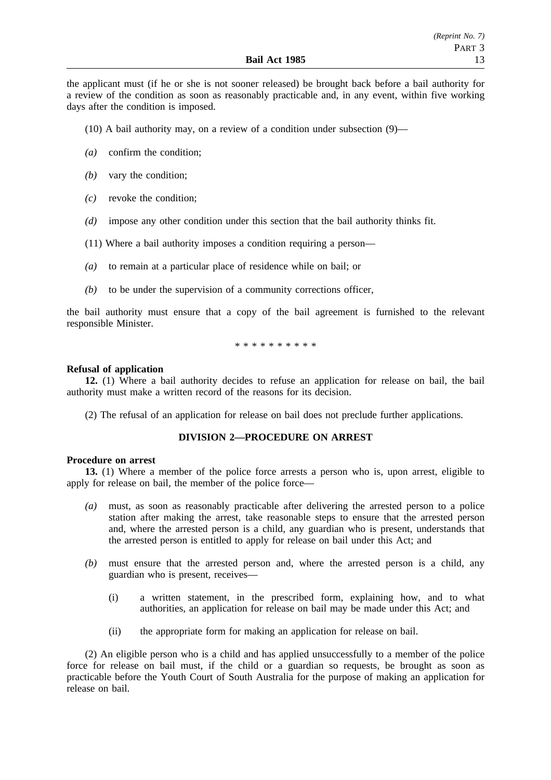the applicant must (if he or she is not sooner released) be brought back before a bail authority for a review of the condition as soon as reasonably practicable and, in any event, within five working days after the condition is imposed.

(10) A bail authority may, on a review of a condition under subsection  $(9)$ —

- *(a)* confirm the condition;
- *(b)* vary the condition;
- *(c)* revoke the condition;
- *(d)* impose any other condition under this section that the bail authority thinks fit.
- (11) Where a bail authority imposes a condition requiring a person—
- *(a)* to remain at a particular place of residence while on bail; or
- *(b)* to be under the supervision of a community corrections officer,

the bail authority must ensure that a copy of the bail agreement is furnished to the relevant responsible Minister.

\*\*\*\*\*\*\*\*\*\*

## **Refusal of application**

**12.** (1) Where a bail authority decides to refuse an application for release on bail, the bail authority must make a written record of the reasons for its decision.

(2) The refusal of an application for release on bail does not preclude further applications.

## **DIVISION 2—PROCEDURE ON ARREST**

# **Procedure on arrest**

**13.** (1) Where a member of the police force arrests a person who is, upon arrest, eligible to apply for release on bail, the member of the police force—

- *(a)* must, as soon as reasonably practicable after delivering the arrested person to a police station after making the arrest, take reasonable steps to ensure that the arrested person and, where the arrested person is a child, any guardian who is present, understands that the arrested person is entitled to apply for release on bail under this Act; and
- *(b)* must ensure that the arrested person and, where the arrested person is a child, any guardian who is present, receives—
	- (i) a written statement, in the prescribed form, explaining how, and to what authorities, an application for release on bail may be made under this Act; and
	- (ii) the appropriate form for making an application for release on bail.

(2) An eligible person who is a child and has applied unsuccessfully to a member of the police force for release on bail must, if the child or a guardian so requests, be brought as soon as practicable before the Youth Court of South Australia for the purpose of making an application for release on bail.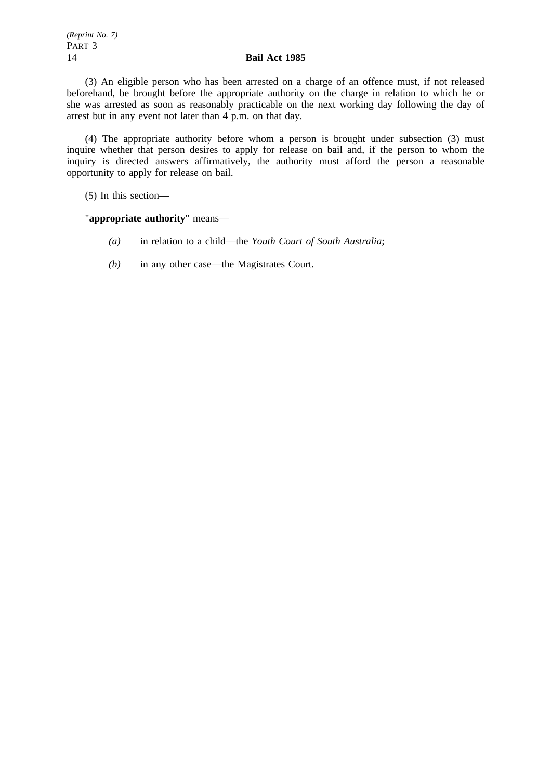(3) An eligible person who has been arrested on a charge of an offence must, if not released beforehand, be brought before the appropriate authority on the charge in relation to which he or she was arrested as soon as reasonably practicable on the next working day following the day of arrest but in any event not later than 4 p.m. on that day.

(4) The appropriate authority before whom a person is brought under subsection (3) must inquire whether that person desires to apply for release on bail and, if the person to whom the inquiry is directed answers affirmatively, the authority must afford the person a reasonable opportunity to apply for release on bail.

(5) In this section—

"**appropriate authority**" means—

- *(a)* in relation to a child—the *Youth Court of South Australia*;
- *(b)* in any other case—the Magistrates Court.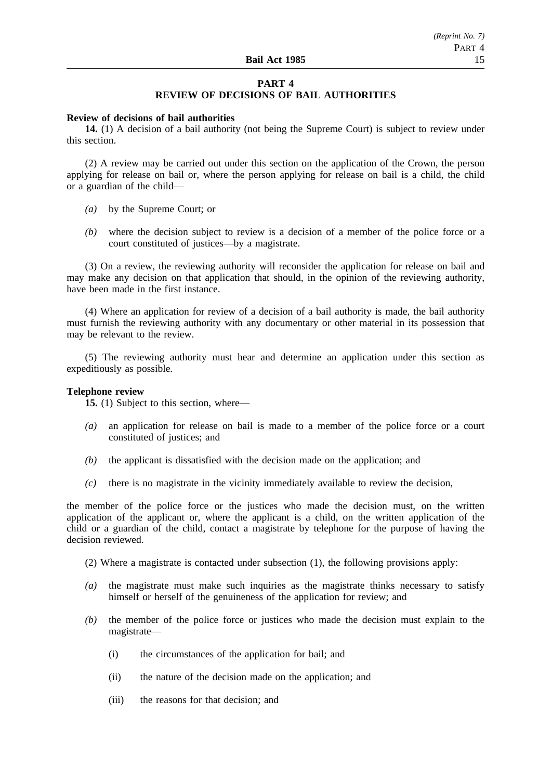# **PART 4**

# **REVIEW OF DECISIONS OF BAIL AUTHORITIES**

## **Review of decisions of bail authorities**

**14.** (1) A decision of a bail authority (not being the Supreme Court) is subject to review under this section.

(2) A review may be carried out under this section on the application of the Crown, the person applying for release on bail or, where the person applying for release on bail is a child, the child or a guardian of the child—

- *(a)* by the Supreme Court; or
- *(b)* where the decision subject to review is a decision of a member of the police force or a court constituted of justices—by a magistrate.

(3) On a review, the reviewing authority will reconsider the application for release on bail and may make any decision on that application that should, in the opinion of the reviewing authority, have been made in the first instance.

(4) Where an application for review of a decision of a bail authority is made, the bail authority must furnish the reviewing authority with any documentary or other material in its possession that may be relevant to the review.

(5) The reviewing authority must hear and determine an application under this section as expeditiously as possible.

## **Telephone review**

**15.** (1) Subject to this section, where—

- *(a)* an application for release on bail is made to a member of the police force or a court constituted of justices; and
- *(b)* the applicant is dissatisfied with the decision made on the application; and
- *(c)* there is no magistrate in the vicinity immediately available to review the decision,

the member of the police force or the justices who made the decision must, on the written application of the applicant or, where the applicant is a child, on the written application of the child or a guardian of the child, contact a magistrate by telephone for the purpose of having the decision reviewed.

- (2) Where a magistrate is contacted under subsection (1), the following provisions apply:
- *(a)* the magistrate must make such inquiries as the magistrate thinks necessary to satisfy himself or herself of the genuineness of the application for review; and
- *(b)* the member of the police force or justices who made the decision must explain to the magistrate—
	- (i) the circumstances of the application for bail; and
	- (ii) the nature of the decision made on the application; and
	- (iii) the reasons for that decision; and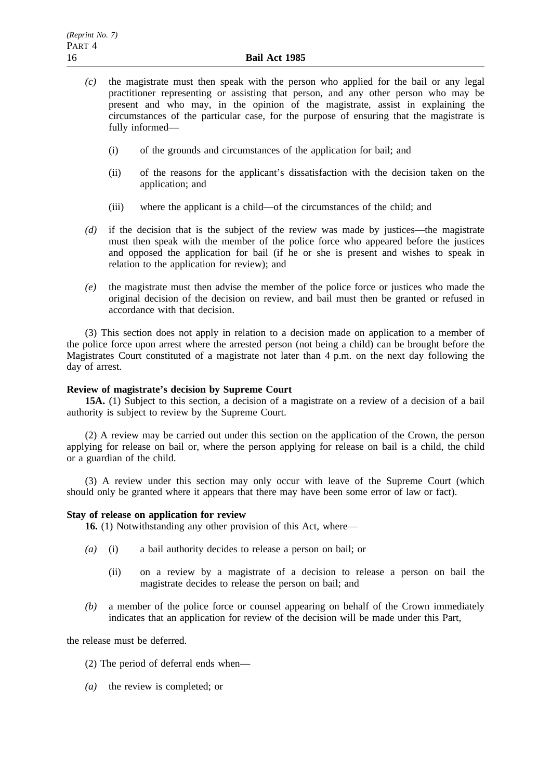- *(c)* the magistrate must then speak with the person who applied for the bail or any legal practitioner representing or assisting that person, and any other person who may be present and who may, in the opinion of the magistrate, assist in explaining the circumstances of the particular case, for the purpose of ensuring that the magistrate is fully informed—
	- (i) of the grounds and circumstances of the application for bail; and
	- (ii) of the reasons for the applicant's dissatisfaction with the decision taken on the application; and
	- (iii) where the applicant is a child—of the circumstances of the child; and
- *(d)* if the decision that is the subject of the review was made by justices—the magistrate must then speak with the member of the police force who appeared before the justices and opposed the application for bail (if he or she is present and wishes to speak in relation to the application for review); and
- *(e)* the magistrate must then advise the member of the police force or justices who made the original decision of the decision on review, and bail must then be granted or refused in accordance with that decision.

(3) This section does not apply in relation to a decision made on application to a member of the police force upon arrest where the arrested person (not being a child) can be brought before the Magistrates Court constituted of a magistrate not later than 4 p.m. on the next day following the day of arrest.

# **Review of magistrate's decision by Supreme Court**

**15A.** (1) Subject to this section, a decision of a magistrate on a review of a decision of a bail authority is subject to review by the Supreme Court.

(2) A review may be carried out under this section on the application of the Crown, the person applying for release on bail or, where the person applying for release on bail is a child, the child or a guardian of the child.

(3) A review under this section may only occur with leave of the Supreme Court (which should only be granted where it appears that there may have been some error of law or fact).

#### **Stay of release on application for review**

**16.** (1) Notwithstanding any other provision of this Act, where—

- *(a)* (i) a bail authority decides to release a person on bail; or
	- (ii) on a review by a magistrate of a decision to release a person on bail the magistrate decides to release the person on bail; and
- *(b)* a member of the police force or counsel appearing on behalf of the Crown immediately indicates that an application for review of the decision will be made under this Part,

the release must be deferred.

- (2) The period of deferral ends when—
- *(a)* the review is completed; or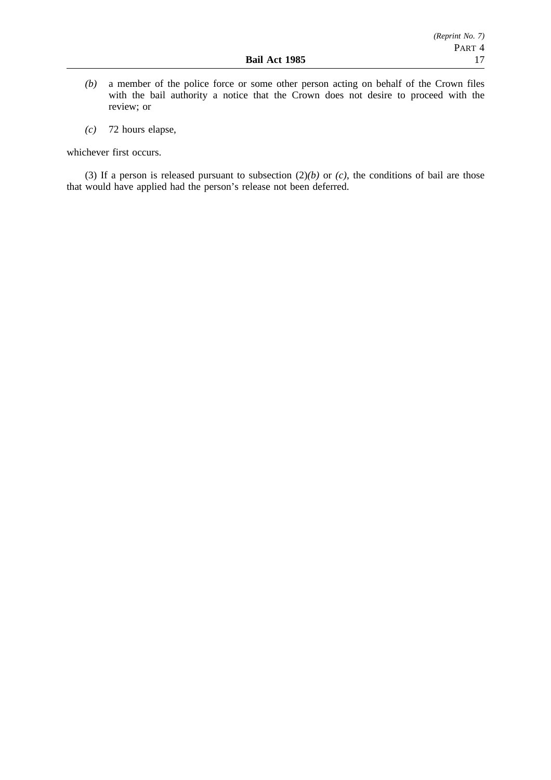- *(b)* a member of the police force or some other person acting on behalf of the Crown files with the bail authority a notice that the Crown does not desire to proceed with the review; or
- *(c)* 72 hours elapse,

whichever first occurs.

(3) If a person is released pursuant to subsection  $(2)(b)$  or  $(c)$ , the conditions of bail are those that would have applied had the person's release not been deferred.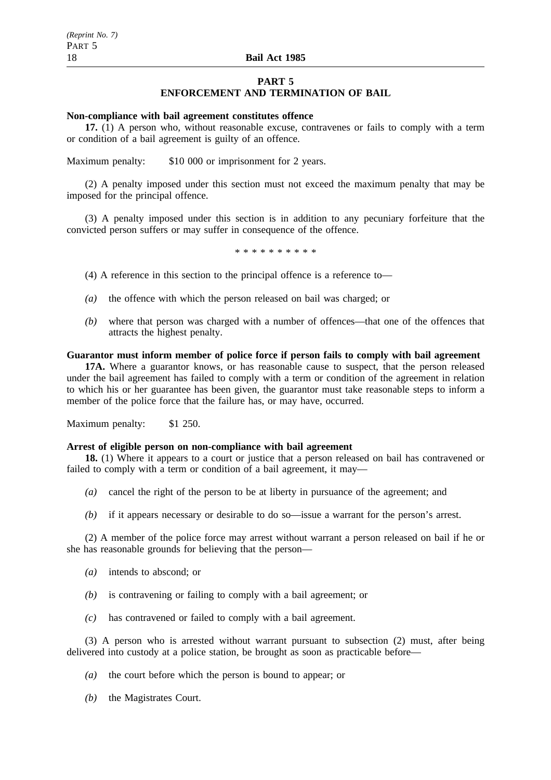# **PART 5 ENFORCEMENT AND TERMINATION OF BAIL**

## **Non-compliance with bail agreement constitutes offence**

**17.** (1) A person who, without reasonable excuse, contravenes or fails to comply with a term or condition of a bail agreement is guilty of an offence.

Maximum penalty: \$10 000 or imprisonment for 2 years.

(2) A penalty imposed under this section must not exceed the maximum penalty that may be imposed for the principal offence.

(3) A penalty imposed under this section is in addition to any pecuniary forfeiture that the convicted person suffers or may suffer in consequence of the offence.

\*\*\*\*\*\*\*\*\*\*

(4) A reference in this section to the principal offence is a reference to—

- *(a)* the offence with which the person released on bail was charged; or
- *(b)* where that person was charged with a number of offences—that one of the offences that attracts the highest penalty.

## **Guarantor must inform member of police force if person fails to comply with bail agreement**

**17A.** Where a guarantor knows, or has reasonable cause to suspect, that the person released under the bail agreement has failed to comply with a term or condition of the agreement in relation to which his or her guarantee has been given, the guarantor must take reasonable steps to inform a member of the police force that the failure has, or may have, occurred.

Maximum penalty: \$1 250.

#### **Arrest of eligible person on non-compliance with bail agreement**

**18.** (1) Where it appears to a court or justice that a person released on bail has contravened or failed to comply with a term or condition of a bail agreement, it may—

- *(a)* cancel the right of the person to be at liberty in pursuance of the agreement; and
- *(b)* if it appears necessary or desirable to do so—issue a warrant for the person's arrest.

(2) A member of the police force may arrest without warrant a person released on bail if he or she has reasonable grounds for believing that the person—

- *(a)* intends to abscond; or
- *(b)* is contravening or failing to comply with a bail agreement; or
- *(c)* has contravened or failed to comply with a bail agreement.

(3) A person who is arrested without warrant pursuant to subsection (2) must, after being delivered into custody at a police station, be brought as soon as practicable before—

- *(a)* the court before which the person is bound to appear; or
- *(b)* the Magistrates Court.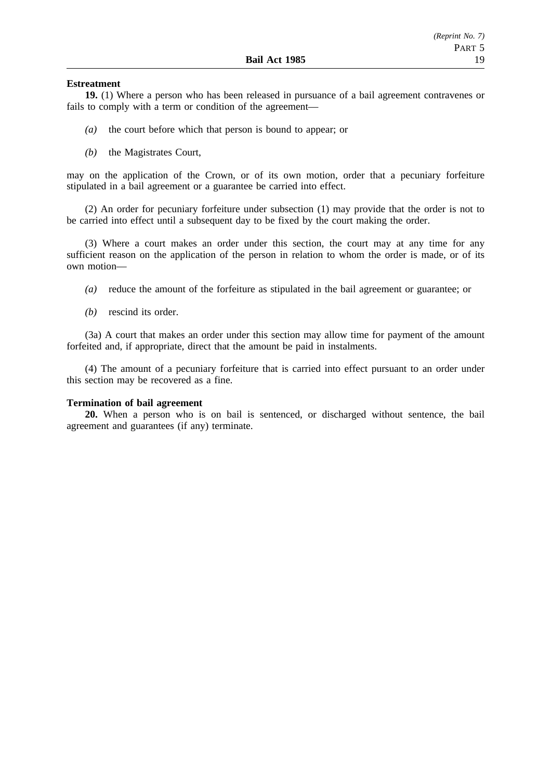## **Estreatment**

**19.** (1) Where a person who has been released in pursuance of a bail agreement contravenes or fails to comply with a term or condition of the agreement—

- *(a)* the court before which that person is bound to appear; or
- *(b)* the Magistrates Court,

may on the application of the Crown, or of its own motion, order that a pecuniary forfeiture stipulated in a bail agreement or a guarantee be carried into effect.

(2) An order for pecuniary forfeiture under subsection (1) may provide that the order is not to be carried into effect until a subsequent day to be fixed by the court making the order.

(3) Where a court makes an order under this section, the court may at any time for any sufficient reason on the application of the person in relation to whom the order is made, or of its own motion—

- *(a)* reduce the amount of the forfeiture as stipulated in the bail agreement or guarantee; or
- *(b)* rescind its order.

(3a) A court that makes an order under this section may allow time for payment of the amount forfeited and, if appropriate, direct that the amount be paid in instalments.

(4) The amount of a pecuniary forfeiture that is carried into effect pursuant to an order under this section may be recovered as a fine.

#### **Termination of bail agreement**

**20.** When a person who is on bail is sentenced, or discharged without sentence, the bail agreement and guarantees (if any) terminate.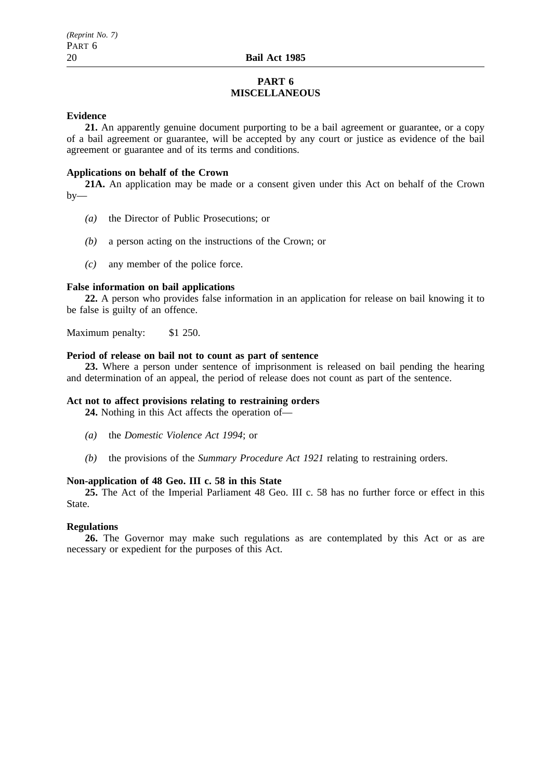# **PART 6 MISCELLANEOUS**

## **Evidence**

**21.** An apparently genuine document purporting to be a bail agreement or guarantee, or a copy of a bail agreement or guarantee, will be accepted by any court or justice as evidence of the bail agreement or guarantee and of its terms and conditions.

## **Applications on behalf of the Crown**

**21A.** An application may be made or a consent given under this Act on behalf of the Crown  $by-$ 

- *(a)* the Director of Public Prosecutions; or
- *(b)* a person acting on the instructions of the Crown; or
- *(c)* any member of the police force.

#### **False information on bail applications**

**22.** A person who provides false information in an application for release on bail knowing it to be false is guilty of an offence.

Maximum penalty: \$1 250.

## **Period of release on bail not to count as part of sentence**

**23.** Where a person under sentence of imprisonment is released on bail pending the hearing and determination of an appeal, the period of release does not count as part of the sentence.

## **Act not to affect provisions relating to restraining orders**

**24.** Nothing in this Act affects the operation of—

- *(a)* the *Domestic Violence Act 1994*; or
- *(b)* the provisions of the *Summary Procedure Act 1921* relating to restraining orders.

# **Non-application of 48 Geo. III c. 58 in this State**

**25.** The Act of the Imperial Parliament 48 Geo. III c. 58 has no further force or effect in this State.

# **Regulations**

**26.** The Governor may make such regulations as are contemplated by this Act or as are necessary or expedient for the purposes of this Act.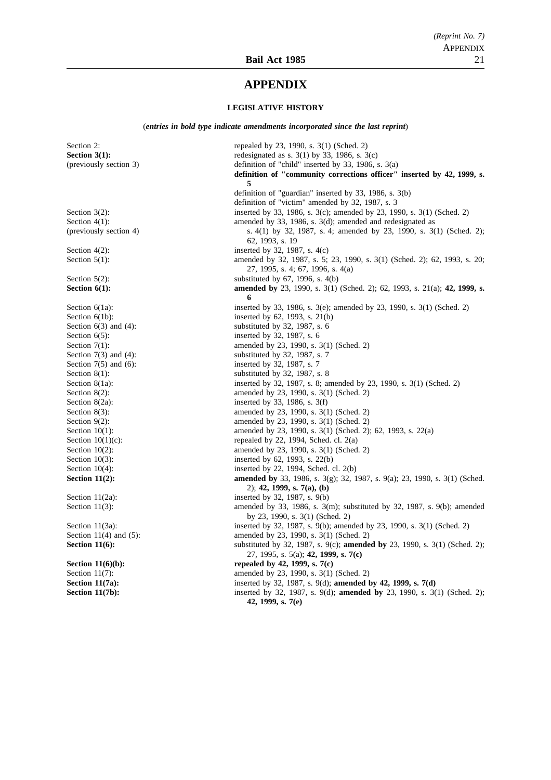# **APPENDIX**

### **LEGISLATIVE HISTORY**

(*entries in bold type indicate amendments incorporated since the last reprint*)

Section 2: repealed by 23, 1990, s. 3(1) (Sched. 2)<br> **Section 3(1):** redesignated as s. 3(1) by 33, 1986, s. 3 redesignated as s. 3(1) by 33, 1986, s. 3(c) (previously section 3) definition of "child" inserted by 33, 1986, s. 3(a) **definition of "community corrections officer" inserted by 42, 1999, s. 5** definition of "guardian" inserted by 33, 1986, s. 3(b) definition of "victim" amended by 32, 1987, s. 3 Section 3(2): inserted by 33, 1986, s. 3(c); amended by 23, 1990, s. 3(1) (Sched. 2)<br>Section 4(1): amended by 33, 1986, s. 3(d): amended and redesignated as amended by 33, 1986, s.  $3(d)$ ; amended and redesignated as (previously section 4) s. 4(1) by 32, 1987, s. 4; amended by 23, 1990, s. 3(1) (Sched. 2); 62, 1993, s. 19 Section  $4(2)$ : inserted by 32, 1987, s.  $4(c)$ Section 5(1): amended by 32, 1987, s. 5; 23, 1990, s. 3(1) (Sched. 2); 62, 1993, s. 20; 27, 1995, s. 4; 67, 1996, s. 4(a) Section  $5(2)$ : substituted by  $67$ ,  $1996$ , s.  $4(b)$ **Section 6(1): amended by** 23, 1990, s. 3(1) (Sched. 2); 62, 1993, s. 21(a); 42, 1999, s. **6** Section 6(1a): inserted by 33, 1986, s. 3(e); amended by 23, 1990, s. 3(1) (Sched. 2) Section  $6(1b)$ : inserted by  $62$ ,  $1993$ , s.  $21(b)$ Section 6(3) and (4): substituted by 32, 1987, s. 6 Section  $6(5)$ : inserted by 32, 1987, s. 6 Section 7(1): amended by 23, 1990, s. 3(1) (Sched. 2) Section  $7(3)$  and  $(4)$ : substituted by 32, 1987, s. 7<br>Section  $7(5)$  and  $(6)$ : substituted by 32, 1987, s. 7 inserted by 32, 1987, s. 7 Section  $8(1)$ : substituted by 32, 1987, s. 8 Section 8(1a): inserted by 32, 1987, s. 8; amended by 23, 1990, s. 3(1) (Sched. 2) Section 8(2): amended by 23, 1990, s. 3(1) (Sched. 2) Section 8(2a): inserted by 33, 1986, s. 3(f)<br>Section 8(3): inserted by 23, 1990, s. 3(1) amended by 23, 1990, s. 3(1) (Sched. 2) Section 9(2): amended by 23, 1990, s. 3(1) (Sched. 2) Section 10(1): amended by 23, 1990, s. 3(1) (Sched. 2); 62, 1993, s. 22(a) Section 10(1)(c): repeated by 22, 1994, Sched. cl. 2(a) Section  $10(1)(c)$ : repealed by 22, 1994, Sched. cl. 2(a)<br>Section  $10(2)$ : amended by 23, 1990, s. 3(1) (Sched amended by 23, 1990, s.  $3(1)$  (Sched. 2) Section 10(3): inserted by 62, 1993, s. 22(b) Section 10(4): inserted by 22, 1994, Sched. cl. 2(b) **Section 11(2): amended by** 33, 1986, s. 3(g); 32, 1987, s. 9(a); 23, 1990, s. 3(1) (Sched. 2); **42, 1999, s. 7(a), (b)** Section 11(2a): inserted by 32, 1987, s. 9(b) Section 11(3): amended by 33, 1986, s. 3(m); substituted by 32, 1987, s. 9(b); amended by 23, 1990, s. 3(1) (Sched. 2) Section 11(3a): inserted by 32, 1987, s. 9(b); amended by 23, 1990, s. 3(1) (Sched. 2) Section 11(4) and (5): amended by 23, 1990, s. 3(1) (Sched. 2) **Section 11(6):** substituted by 32, 1987, s. 9(c); **amended by** 23, 1990, s. 3(1) (Sched. 2); 27, 1995, s. 5(a); **42, 1999, s. 7(c) Section 11(6)(b):** repealed by 42, 1999, s. 7(c) Section 11(7): amended by 23, 1990, s. 3(1) (Sched. 2)<br>
Section 11(7a): inserted by 32, 1987, s. 9(d); amended by 32, 1987, s. 9(d); amended by 32, 1987, s. **Section 11(7a):** inserted by 32, 1987, s. 9(d); **amended by 42, 1999, s. 7(d) Section 11(7b):** inserted by 32, 1987, s. 9(d); **amended by** 23, 1990, s. 3(1) (Sched. 2); **42, 1999, s. 7(e)**